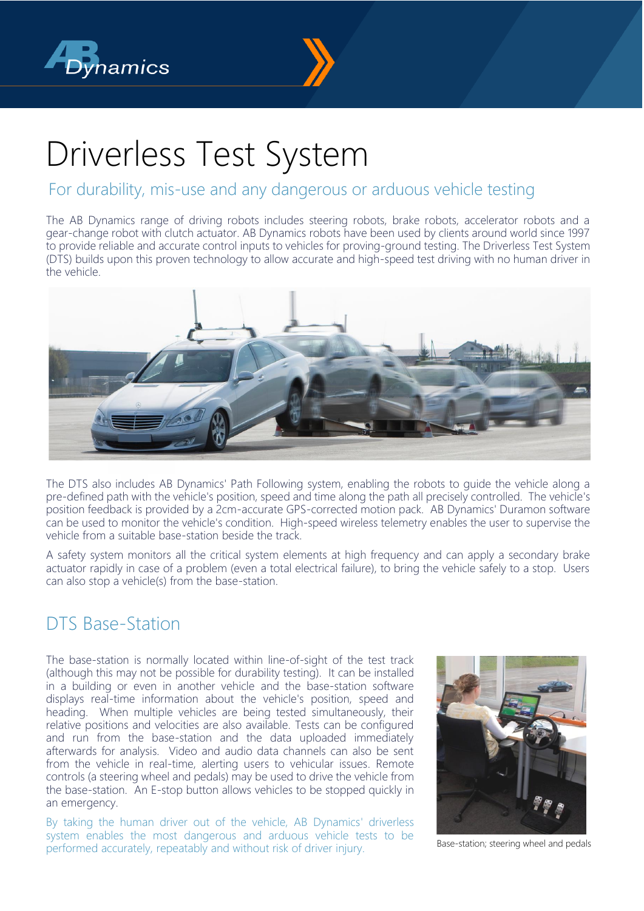



# Driverless Test System

### For durability, mis-use and any dangerous or arduous vehicle testing

The AB Dynamics range of driving robots includes steering robots, brake robots, accelerator robots and a gear-change robot with clutch actuator. AB Dynamics robots have been used by clients around world since 1997 to provide reliable and accurate control inputs to vehicles for proving-ground testing. The Driverless Test System (DTS) builds upon this proven technology to allow accurate and high-speed test driving with no human driver in the vehicle.



The DTS also includes AB Dynamics' Path Following system, enabling the robots to guide the vehicle along a pre-defined path with the vehicle's position, speed and time along the path all precisely controlled. The vehicle's position feedback is provided by a 2cm-accurate GPS-corrected motion pack. AB Dynamics' Duramon software can be used to monitor the vehicle's condition. High-speed wireless telemetry enables the user to supervise the vehicle from a suitable base-station beside the track.

A safety system monitors all the critical system elements at high frequency and can apply a secondary brake actuator rapidly in case of a problem (even a total electrical failure), to bring the vehicle safely to a stop. Users can also stop a vehicle(s) from the base-station.

## DTS Base-Station

The base-station is normally located within line-of-sight of the test track (although this may not be possible for durability testing). It can be installed in a building or even in another vehicle and the base-station software displays real-time information about the vehicle's position, speed and heading. When multiple vehicles are being tested simultaneously, their relative positions and velocities are also available. Tests can be configured and run from the base-station and the data uploaded immediately afterwards for analysis. Video and audio data channels can also be sent from the vehicle in real-time, alerting users to vehicular issues. Remote controls (a steering wheel and pedals) may be used to drive the vehicle from the base-station. An E-stop button allows vehicles to be stopped quickly in an emergency.

By taking the human driver out of the vehicle, AB Dynamics' driverless system enables the most dangerous and arduous vehicle tests to be performed accurately, repeatably and without risk of driver injury.



Base-station; steering wheel and pedals